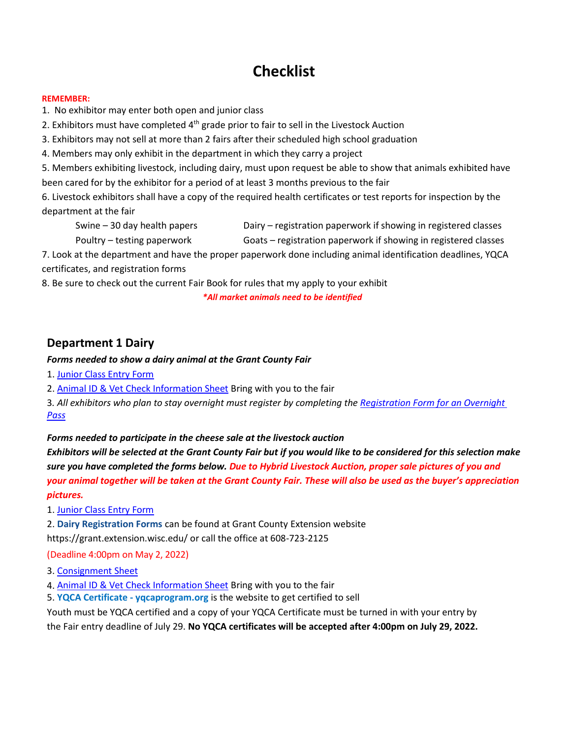# **Checklist**

#### **REMEMBER:**

1. No exhibitor may enter both open and junior class

2. Exhibitors must have completed  $4<sup>th</sup>$  grade prior to fair to sell in the Livestock Auction

3. Exhibitors may not sell at more than 2 fairs after their scheduled high school graduation

4. Members may only exhibit in the department in which they carry a project

5. Members exhibiting livestock, including dairy, must upon request be able to show that animals exhibited have been cared for by the exhibitor for a period of at least 3 months previous to the fair

6. Livestock exhibitors shall have a copy of the required health certificates or test reports for inspection by the department at the fair

Swine – 30 day health papers Dairy – registration paperwork if showing in registered classes

Poultry – testing paperwork Goats – registration paperwork if showing in registered classes

7. Look at the department and have the proper paperwork done including animal identification deadlines, YQCA certificates, and registration forms

8. Be sure to check out the current Fair Book for rules that my apply to your exhibit

*\*All market animals need to be identified*

### **Department 1 Dairy**

#### *Forms needed to show a dairy animal at the Grant County Fair*

- 1. [Junior Class Entry](https://funonforty.co.grant.wi.gov/wp-content/uploads/Fairbook_Forms/2022_JUNIOR_CLASS_ENTRY_BLANK.pdf) Form
- 2. Animal ID & Vet Check [Information](https://funonforty.co.grant.wi.gov/wp-content/uploads/Fairbook_Forms/2022_ANIMAL_ID_VET_CHECK.pdf) Sheet Bring with you to the fair

3*. All exhibitors who plan to stay overnight must register by completing the [Registration](https://funonforty.co.grant.wi.gov/wp-content/uploads/Fairbook_Forms/2022_Overnight_Registration.pdf) Form for an Overnight [Pass](https://funonforty.co.grant.wi.gov/wp-content/uploads/Fairbook_Forms/2022_Overnight_Registration.pdf)*

#### *Forms needed to participate in the cheese sale at the livestock auction*

Exhibitors will be selected at the Grant County Fair but if you would like to be considered for this selection make *sure you have completed the forms below. Due to Hybrid Livestock Auction, proper sale pictures of you and your animal together will be taken at the Grant County Fair. These will also be used as the buyer's appreciation pictures.*

1. [Junior Class Entry](https://funonforty.co.grant.wi.gov/wp-content/uploads/Fairbook_Forms/2022_JUNIOR_CLASS_ENTRY_BLANK.pdf) Form

2. **Dairy Registration Forms** can be found at Grant County Extension website https://grant.extension.wisc.edu/ or call the office at 608-723-2125

(Deadline 4:00pm on May 2, 2022)

3. [Consignment Sheet](https://funonforty.co.grant.wi.gov/wp-content/uploads/Fairbook_Forms/2022_JUNIOR_FAIR_LIVESTOCK_AUCTION.pdf)

4. Animal ID & Vet Check [Information](https://funonforty.co.grant.wi.gov/wp-content/uploads/Fairbook_Forms/2022_ANIMAL_ID_VET_CHECK.pdf) Sheet Bring with you to the fair

5. **YQCA Certificate - yqcaprogram.org** is the website to get certified to sell

Youth must be YQCA certified and a copy of your YQCA Certificate must be turned in with your entry by the Fair entry deadline of July 29. **No YQCA certificates will be accepted after 4:00pm on July 29, 2022.**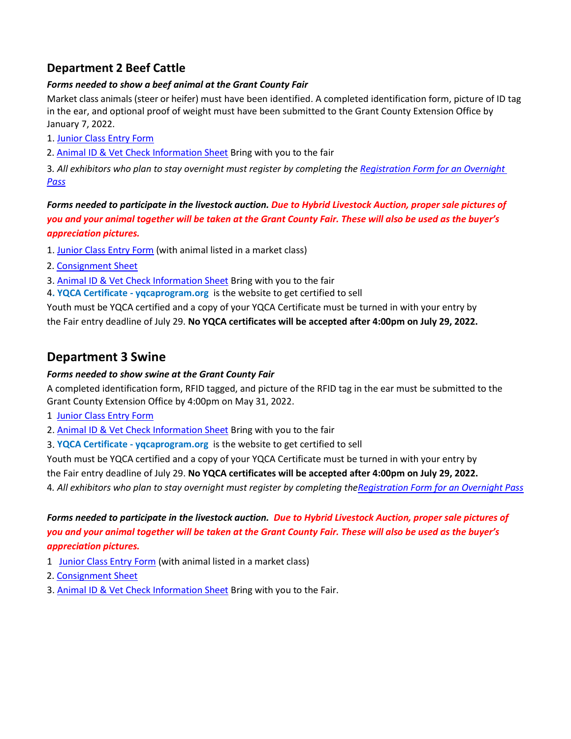### **Department 2 Beef Cattle**

#### *Forms needed to show a beef animal at the Grant County Fair*

Market class animals (steer or heifer) must have been identified. A completed identification form, picture of ID tag in the ear, and optional proof of weight must have been submitted to the Grant County Extension Office by January 7, 2022.

- 1. [Junior Class Entry](https://funonforty.co.grant.wi.gov/wp-content/uploads/Fairbook_Forms/2022_JUNIOR_CLASS_ENTRY_BLANK.pdf) Form
- 2. Animal ID & Vet Check [Information](https://funonforty.co.grant.wi.gov/wp-content/uploads/Fairbook_Forms/2022_ANIMAL_ID_VET_CHECK.pdf) Sheet Bring with you to the fair

3*. All exhibitors who plan to stay overnight must register by completing the [Registration](https://funonforty.co.grant.wi.gov/wp-content/uploads/Fairbook_Forms/2022_Overnight_Registration.pdf) Form for an Overnight [Pass](https://funonforty.co.grant.wi.gov/wp-content/uploads/Fairbook_Forms/2022_Overnight_Registration.pdf)*

*Forms needed to participate in the livestock auction. Due to Hybrid Livestock Auction, proper sale pictures of you and your animal together will be taken at the Grant County Fair. These will also be used as the buyer's appreciation pictures.*

- 1. [Junior Class Entry](https://funonforty.co.grant.wi.gov/wp-content/uploads/Fairbook_Forms/2022_JUNIOR_CLASS_ENTRY_BLANK.pdf) Form (with animal listed in a market class)
- 2. [Consignment Sheet](https://funonforty.co.grant.wi.gov/wp-content/uploads/Fairbook_Forms/2022_JUNIOR_FAIR_LIVESTOCK_AUCTION.pdf)
- 3. Animal ID & Vet Check [Information](https://funonforty.co.grant.wi.gov/wp-content/uploads/Fairbook_Forms/2022_ANIMAL_ID_VET_CHECK.pdf) Sheet Bring with you to the fair
- 4**. YQCA Certificate - yqcaprogram.org** is the website to get certified to sell

Youth must be YQCA certified and a copy of your YQCA Certificate must be turned in with your entry by the Fair entry deadline of July 29. **No YQCA certificates will be accepted after 4:00pm on July 29, 2022.**

### **Department 3 Swine**

#### *Forms needed to show swine at the Grant County Fair*

A completed identification form, RFID tagged, and picture of the RFID tag in the ear must be submitted to the Grant County Extension Office by 4:00pm on May 31, 2022.

- 1 [Junior Class Entry](https://funonforty.co.grant.wi.gov/wp-content/uploads/Fairbook_Forms/2022_JUNIOR_CLASS_ENTRY_BLANK.pdf) Form
- 2. Animal ID & Vet Check [Information](https://funonforty.co.grant.wi.gov/wp-content/uploads/Fairbook_Forms/2022_ANIMAL_ID_VET_CHECK.pdf) Sheet Bring with you to the fair
- 3. **YQCA Certificate - yqcaprogram.org** is the website to get certified to sell

Youth must be YQCA certified and a copy of your YQCA Certificate must be turned in with your entry by

the Fair entry deadline of July 29. **No YQCA certificates will be accepted after 4:00pm on July 29, 2022.** 4*. All exhibitors who plan to stay overnight must register by completing th[eRegistration](https://funonforty.co.grant.wi.gov/wp-content/uploads/Fairbook_Forms/2022_Overnight_Registration.pdf) Form for an Overnight Pass*

*Forms needed to participate in the livestock auction. Due to Hybrid Livestock Auction, proper sale pictures of you and your animal together will be taken at the Grant County Fair. These will also be used as the buyer's appreciation pictures.*

- 1 [Junior Class Entry](file://///uwshare01/FairShares/FairBook/2022%20Fair_Book/2022Forms/2022FinishedForms_PDF/2022_JUNIOR_CLASS_ENTRY_BLANK.pdf) Form (with animal listed in a market class)
- 2. [Consignment Sheet](https://funonforty.co.grant.wi.gov/wp-content/uploads/Fairbook_Forms/2022_JUNIOR_FAIR_LIVESTOCK_AUCTION.pdf)
- 3. Animal ID & Vet Check [Information](https://funonforty.co.grant.wi.gov/wp-content/uploads/Fairbook_Forms/2022_ANIMAL_ID_VET_CHECK.pdf) Sheet Bring with you to the Fair.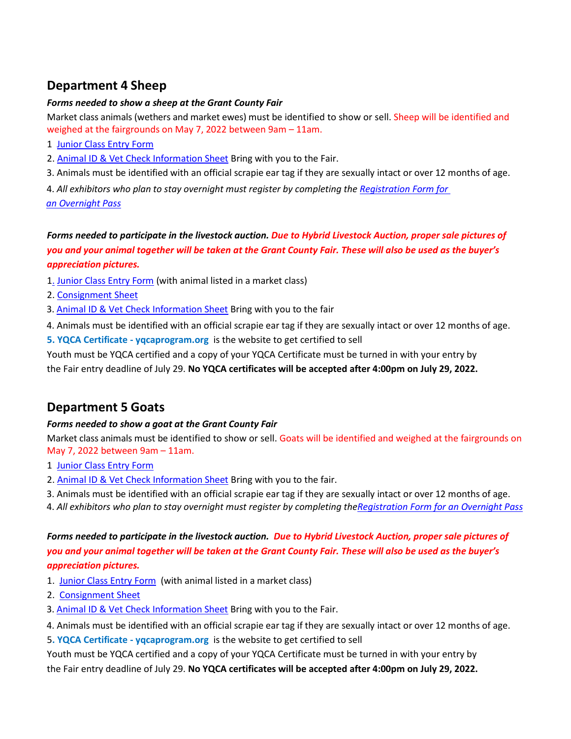# **Department 4 Sheep**

#### *Forms needed to show a sheep at the Grant County Fair*

Market class animals (wethers and market ewes) must be identified to show or sell. Sheep will be identified and weighed at the fairgrounds on May 7, 2022 between 9am – 11am.

- 1 [Junior Class Entry](https://funonforty.co.grant.wi.gov/wp-content/uploads/Fairbook_Forms/2022_JUNIOR_CLASS_ENTRY_BLANK.pdf) Form
- 2. Animal ID & Vet Check [Information](https://funonforty.co.grant.wi.gov/wp-content/uploads/Fairbook_Forms/2022_ANIMAL_ID_VET_CHECK.pdf) Sheet Bring with you to the Fair.
- 3. Animals must be identified with an official scrapie ear tag if they are sexually intact or over 12 months of age.

 4. *All exhibitors who plan to stay overnight must register by completing th[e Registration](https://funonforty.co.grant.wi.gov/wp-content/uploads/Fairbook_Forms/2022_Overnight_Registration.pdf) Form for an [Overnight](https://funonforty.co.grant.wi.gov/wp-content/uploads/Fairbook_Forms/2022_Overnight_Registration.pdf) Pass*

### *Forms needed to participate in the livestock auction. Due to Hybrid Livestock Auction, proper sale pictures of you and your animal together will be taken at the Grant County Fair. These will also be used as the buyer's appreciation pictures.*

- 1. [Junior Class Entry](file://///uwshare01/FairShares/FairBook/2022%20Fair_Book/2022Forms/2022FinishedForms_PDF/2022_JUNIOR_CLASS_ENTRY_BLANK.pdf) Form (with animal listed in a market class)
- 2. [Consignment Sheet](https://funonforty.co.grant.wi.gov/wp-content/uploads/Fairbook_Forms/2022_JUNIOR_FAIR_LIVESTOCK_AUCTION.pdf)
- 3. Animal ID & Vet Check [Information](https://funonforty.co.grant.wi.gov/wp-content/uploads/Fairbook_Forms/2022_ANIMAL_ID_VET_CHECK.pdf) Sheet Bring with you to the fair
- 4. Animals must be identified with an official scrapie ear tag if they are sexually intact or over 12 months of age.
- **5. YQCA Certificate - yqcaprogram.org** is the website to get certified to sell

Youth must be YQCA certified and a copy of your YQCA Certificate must be turned in with your entry by the Fair entry deadline of July 29. **No YQCA certificates will be accepted after 4:00pm on July 29, 2022.**

### **Department 5 Goats**

#### *Forms needed to show a goat at the Grant County Fair*

Market class animals must be identified to show or sell. Goats will be identified and weighed at the fairgrounds on May 7, 2022 between 9am – 11am.

- 1 [Junior Class Entry](https://funonforty.co.grant.wi.gov/wp-content/uploads/Fairbook_Forms/2022_JUNIOR_CLASS_ENTRY_BLANK.pdf) Form
- 2. Animal ID & Vet Check [Information](https://funonforty.co.grant.wi.gov/wp-content/uploads/Fairbook_Forms/2022_ANIMAL_ID_VET_CHECK.pdf) Sheet Bring with you to the fair.
- 3. Animals must be identified with an official scrapie ear tag if they are sexually intact or over 12 months of age.
- 4. *All exhibitors who plan to stay overnight must register by completing th[eRegistration](https://funonforty.co.grant.wi.gov/wp-content/uploads/Fairbook_Forms/2022_Overnight_Registration.pdf) Form for an Overnight Pass*

### *Forms needed to participate in the livestock auction. Due to Hybrid Livestock Auction, proper sale pictures of you and your animal together will be taken at the Grant County Fair. These will also be used as the buyer's appreciation pictures.*

- 1. [Junior Class Entry](file://///uwshare01/FairShares/FairBook/2022%20Fair_Book/2022Forms/2022FinishedForms_PDF/2022_JUNIOR_CLASS_ENTRY_BLANK.pdf) Form (with animal listed in a market class)
- 2. [Consignment Sheet](file://///uwshare01/FairShares/FairBook/2022%20Fair_Book/2022Forms/2022FinishedForms_PDF/2022_JUNIOR_FAIR_LIVESTOCK_AUCTION.pdf)
- 3. Animal ID & Vet Check [Information](https://funonforty.co.grant.wi.gov/wp-content/uploads/Fairbook_Forms/2022_ANIMAL_ID_VET_CHECK.pdf) Sheet Bring with you to the Fair.

4. Animals must be identified with an official scrapie ear tag if they are sexually intact or over 12 months of age.

5**. YQCA Certificate - yqcaprogram.org** is the website to get certified to sell

Youth must be YQCA certified and a copy of your YQCA Certificate must be turned in with your entry by the Fair entry deadline of July 29. **No YQCA certificates will be accepted after 4:00pm on July 29, 2022.**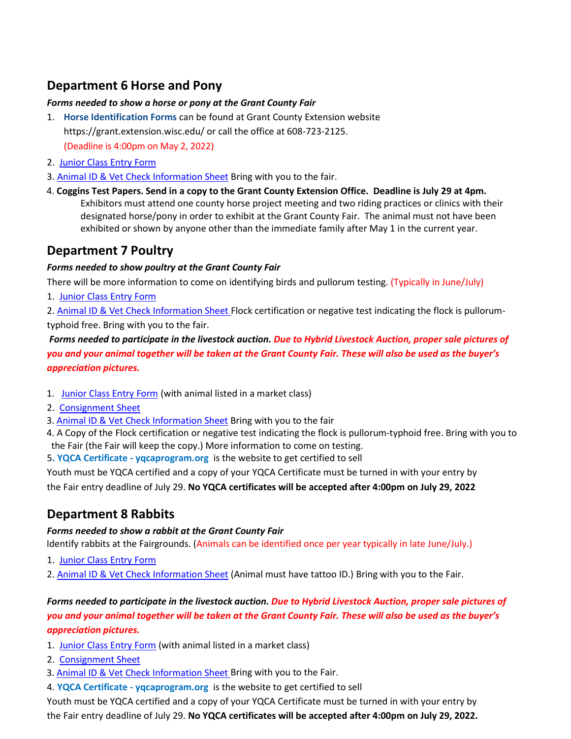## **Department 6 Horse and Pony**

#### *Forms needed to show a horse or pony at the Grant County Fair*

- 1. **Horse Identification Forms** can be found at Grant County Extension website https://grant.extension.wisc.edu/ or call the office at 608-723-2125. (Deadline is 4:00pm on May 2, 2022)
- 2. [Junior Class Entry](https://funonforty.co.grant.wi.gov/wp-content/uploads/Fairbook_Forms/2022_JUNIOR_CLASS_ENTRY_BLANK.pdf) Form
- 3. Animal ID & Vet Check [Information](https://funonforty.co.grant.wi.gov/wp-content/uploads/Fairbook_Forms/2022_ANIMAL_ID_VET_CHECK.pdf) Sheet Bring with you to the fair.
- 4. **Coggins Test Papers. Send in a copy to the Grant County Extension Office. Deadline is July 29 at 4pm.** Exhibitors must attend one county horse project meeting and two riding practices or clinics with their designated horse/pony in order to exhibit at the Grant County Fair. The animal must not have been exhibited or shown by anyone other than the immediate family after May 1 in the current year.

### **Department 7 Poultry**

#### *Forms needed to show poultry at the Grant County Fair*

There will be more information to come on identifying birds and pullorum testing. (Typically in June/July)

1. [Junior Class Entry](https://funonforty.co.grant.wi.gov/wp-content/uploads/Fairbook_Forms/2022_JUNIOR_CLASS_ENTRY_BLANK.pdf) Form

2. Animal ID & Vet Check [Information](https://funonforty.co.grant.wi.gov/wp-content/uploads/Fairbook_Forms/2022_ANIMAL_ID_VET_CHECK.pdf) Sheet Flock certification or negative test indicating the flock is pullorumtyphoid free. Bring with you to the fair.

*Forms needed to participate in the livestock auction. Due to Hybrid Livestock Auction, proper sale pictures of you and your animal together will be taken at the Grant County Fair. These will also be used as the buyer's appreciation pictures.*

- 1.[Junior Class Entry](https://funonforty.co.grant.wi.gov/wp-content/uploads/Fairbook_Forms/2022_JUNIOR_CLASS_ENTRY_BLANK.pdf) Form (with animal listed in a market class)
- 2. [Consignment Sheet](file://///uwshare01/FairShares/FairBook/2022%20Fair_Book/2022Forms/2022FinishedForms_PDF/2022_JUNIOR_FAIR_LIVESTOCK_AUCTION.pdf)
- 3. Animal ID & Vet Check [Information](https://funonforty.co.grant.wi.gov/wp-content/uploads/Fairbook_Forms/2022_ANIMAL_ID_VET_CHECK.pdf) Sheet Bring with you to the fair
- 4. A Copy of the Flock certification or negative test indicating the flock is pullorum-typhoid free. Bring with you to the Fair (the Fair will keep the copy.) More information to come on testing.

5**. YQCA Certificate - yqcaprogram.org** is the website to get certified to sell

Youth must be YQCA certified and a copy of your YQCA Certificate must be turned in with your entry by the Fair entry deadline of July 29. **No YQCA certificates will be accepted after 4:00pm on July 29, 2022** 

# **Department 8 Rabbits**

### *Forms needed to show a rabbit at the Grant County Fair*

Identify rabbits at the Fairgrounds. (Animals can be identified once per year typically in late June/July.)

- 1. [Junior Class Entry](https://funonforty.co.grant.wi.gov/wp-content/uploads/Fairbook_Forms/2022_JUNIOR_CLASS_ENTRY_BLANK.pdf) Form
- 2. Animal ID & Vet Check [Information](https://funonforty.co.grant.wi.gov/wp-content/uploads/Fairbook_Forms/2022_ANIMAL_ID_VET_CHECK.pdf) Sheet (Animal must have tattoo ID.) Bring with you to the Fair.

### *Forms needed to participate in the livestock auction. Due to Hybrid Livestock Auction, proper sale pictures of you and your animal together will be taken at the Grant County Fair. These will also be used as the buyer's appreciation pictures.*

- 1. [Junior Class Entry](https://funonforty.co.grant.wi.gov/wp-content/uploads/Fairbook_Forms/2022_JUNIOR_CLASS_ENTRY_BLANK.pdf) Form (with animal listed in a market class)
- 2. [Consignment Sheet](file://///uwshare01/FairShares/FairBook/2022%20Fair_Book/2022Forms/2022FinishedForms_PDF/2022_JUNIOR_FAIR_LIVESTOCK_AUCTION.pdf)
- 3. Animal ID & Vet Check [Information](https://funonforty.co.grant.wi.gov/wp-content/uploads/Fairbook_Forms/2022_ANIMAL_ID_VET_CHECK.pdf) Sheet Bring with you to the Fair.
- 4. **YQCA Certificate - yqcaprogram.org** is the website to get certified to sell

Youth must be YQCA certified and a copy of your YQCA Certificate must be turned in with your entry by the Fair entry deadline of July 29. **No YQCA certificates will be accepted after 4:00pm on July 29, 2022.**